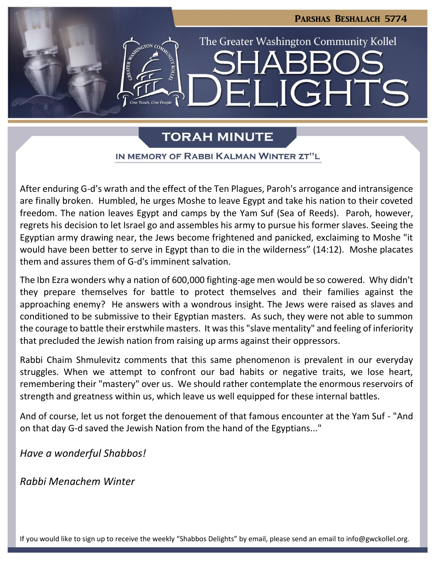

# **TORAH MINUTE**

## IN MEMORY OF RABBI KALMAN WINTER ZT"L

After enduring G-d's wrath and the effect of the Ten Plagues, Paroh's arrogance and intransigence are finally broken. Humbled, he urges Moshe to leave Egypt and take his nation to their coveted freedom. The nation leaves Egypt and camps by the Yam Suf (Sea of Reeds). Paroh, however, regrets his decision to let Israel go and assembles his army to pursue his former slaves. Seeing the Egyptian army drawing near, the Jews become frightened and panicked, exclaiming to Moshe "it would have been better to serve in Egypt than to die in the wilderness" (14:12). Moshe placates them and assures them of G-d's imminent salvation.

The Ibn Ezra wonders why a nation of 600,000 fighting-age men would be so cowered. Why didn't they prepare themselves for battle to protect themselves and their families against the approaching enemy? He answers with a wondrous insight. The Jews were raised as slaves and conditioned to be submissive to their Egyptian masters. As such, they were not able to summon the courage to battle their erstwhile masters. It was this "slave mentality" and feeling of inferiority that precluded the Jewish nation from raising up arms against their oppressors.

Rabbi Chaim Shmulevitz comments that this same phenomenon is prevalent in our everyday struggles. When we attempt to confront our bad habits or negative traits, we lose heart, remembering their "mastery" over us. We should rather contemplate the enormous reservoirs of strength and greatness within us, which leave us well equipped for these internal battles.

And of course, let us not forget the denouement of that famous encounter at the Yam Suf - "And on that day G-d saved the Jewish Nation from the hand of the Egyptians..."

*Have a wonderful Shabbos!*

*Rabbi Menachem Winter*

If you would like to sign up to receive the weekly "Shabbos Delights" by email, please send an email to [info@gwckollel.org](mailto:info@gwckollel.org).